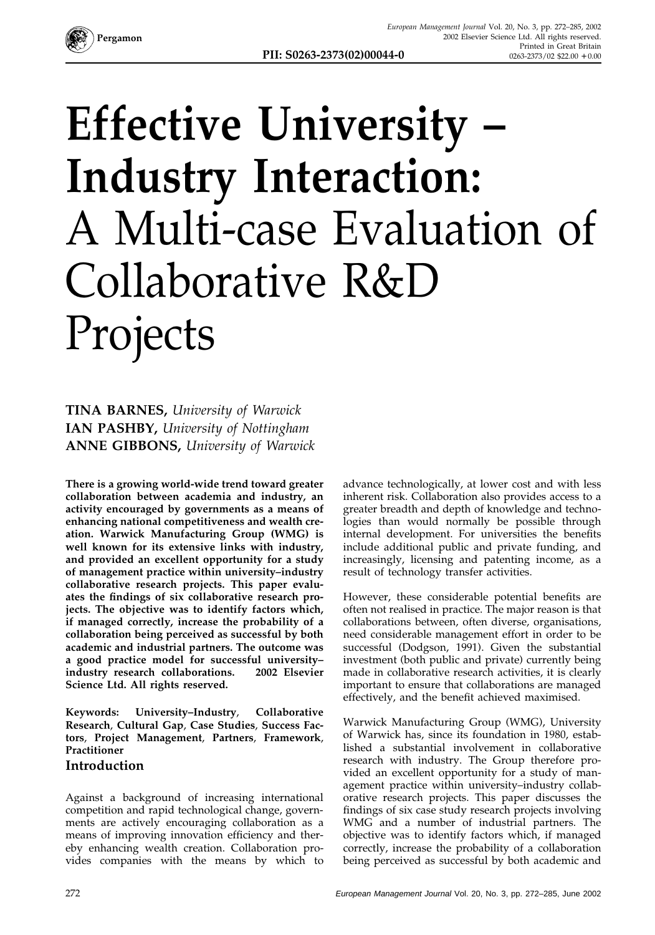

# **Effective University – Industry Interaction:** A Multi-case Evaluation of Collaborative R&D Projects

### **TINA BARNES,** *University of Warwick* **IAN PASHBY,** *University of Nottingham* **ANNE GIBBONS,** *University of Warwick*

**There is a growing world-wide trend toward greater collaboration between academia and industry, an activity encouraged by governments as a means of enhancing national competitiveness and wealth creation. Warwick Manufacturing Group (WMG) is well known for its extensive links with industry, and provided an excellent opportunity for a study of management practice within university–industry collaborative research projects. This paper evaluates the findings of six collaborative research projects. The objective was to identify factors which, if managed correctly, increase the probability of a collaboration being perceived as successful by both academic and industrial partners. The outcome was a good practice model for successful university– industry research collaborations. 2002 Elsevier Science Ltd. All rights reserved.**

**Keywords: University–Industry**, **Collaborative Research**, **Cultural Gap**, **Case Studies**, **Success Factors**, **Project Management**, **Partners**, **Framework**, **Practitioner**

#### **Introduction**

Against a background of increasing international competition and rapid technological change, governments are actively encouraging collaboration as a means of improving innovation efficiency and thereby enhancing wealth creation. Collaboration provides companies with the means by which to

advance technologically, at lower cost and with less inherent risk. Collaboration also provides access to a greater breadth and depth of knowledge and technologies than would normally be possible through internal development. For universities the benefits include additional public and private funding, and increasingly, licensing and patenting income, as a result of technology transfer activities.

However, these considerable potential benefits are often not realised in practice. The major reason is that collaborations between, often diverse, organisations, need considerable management effort in order to be successful (Dodgson, 1991). Given the substantial investment (both public and private) currently being made in collaborative research activities, it is clearly important to ensure that collaborations are managed effectively, and the benefit achieved maximised.

Warwick Manufacturing Group (WMG), University of Warwick has, since its foundation in 1980, established a substantial involvement in collaborative research with industry. The Group therefore provided an excellent opportunity for a study of management practice within university–industry collaborative research projects. This paper discusses the findings of six case study research projects involving WMG and a number of industrial partners. The objective was to identify factors which, if managed correctly, increase the probability of a collaboration being perceived as successful by both academic and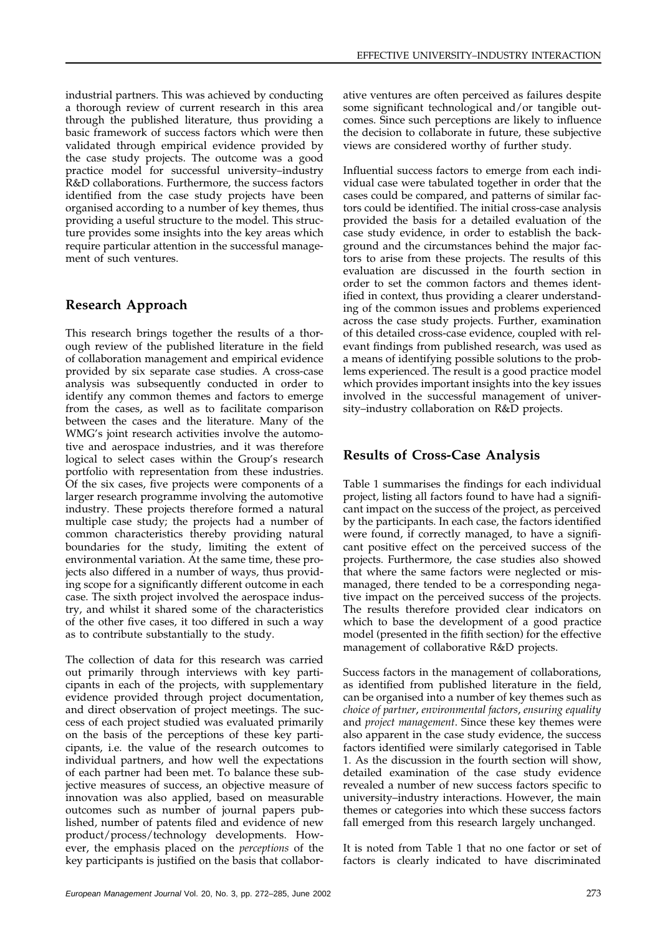industrial partners. This was achieved by conducting a thorough review of current research in this area through the published literature, thus providing a basic framework of success factors which were then validated through empirical evidence provided by the case study projects. The outcome was a good practice model for successful university–industry R&D collaborations. Furthermore, the success factors identified from the case study projects have been organised according to a number of key themes, thus providing a useful structure to the model. This structure provides some insights into the key areas which require particular attention in the successful management of such ventures.

#### **Research Approach**

This research brings together the results of a thorough review of the published literature in the field of collaboration management and empirical evidence provided by six separate case studies. A cross-case analysis was subsequently conducted in order to identify any common themes and factors to emerge from the cases, as well as to facilitate comparison between the cases and the literature. Many of the WMG's joint research activities involve the automotive and aerospace industries, and it was therefore logical to select cases within the Group's research portfolio with representation from these industries. Of the six cases, five projects were components of a larger research programme involving the automotive industry. These projects therefore formed a natural multiple case study; the projects had a number of common characteristics thereby providing natural boundaries for the study, limiting the extent of environmental variation. At the same time, these projects also differed in a number of ways, thus providing scope for a significantly different outcome in each case. The sixth project involved the aerospace industry, and whilst it shared some of the characteristics of the other five cases, it too differed in such a way as to contribute substantially to the study.

The collection of data for this research was carried out primarily through interviews with key participants in each of the projects, with supplementary evidence provided through project documentation, and direct observation of project meetings. The success of each project studied was evaluated primarily on the basis of the perceptions of these key participants, i.e. the value of the research outcomes to individual partners, and how well the expectations of each partner had been met. To balance these subjective measures of success, an objective measure of innovation was also applied, based on measurable outcomes such as number of journal papers published, number of patents filed and evidence of new product/process/technology developments. However, the emphasis placed on the *perceptions* of the key participants is justified on the basis that collaborative ventures are often perceived as failures despite some significant technological and/or tangible outcomes. Since such perceptions are likely to influence the decision to collaborate in future, these subjective views are considered worthy of further study.

Influential success factors to emerge from each individual case were tabulated together in order that the cases could be compared, and patterns of similar factors could be identified. The initial cross-case analysis provided the basis for a detailed evaluation of the case study evidence, in order to establish the background and the circumstances behind the major factors to arise from these projects. The results of this evaluation are discussed in the fourth section in order to set the common factors and themes identified in context, thus providing a clearer understanding of the common issues and problems experienced across the case study projects. Further, examination of this detailed cross-case evidence, coupled with relevant findings from published research, was used as a means of identifying possible solutions to the problems experienced. The result is a good practice model which provides important insights into the key issues involved in the successful management of university–industry collaboration on R&D projects.

#### **Results of Cross-Case Analysis**

Table 1 summarises the findings for each individual project, listing all factors found to have had a significant impact on the success of the project, as perceived by the participants. In each case, the factors identified were found, if correctly managed, to have a significant positive effect on the perceived success of the projects. Furthermore, the case studies also showed that where the same factors were neglected or mismanaged, there tended to be a corresponding negative impact on the perceived success of the projects. The results therefore provided clear indicators on which to base the development of a good practice model (presented in the fifith section) for the effective management of collaborative R&D projects.

Success factors in the management of collaborations, as identified from published literature in the field, can be organised into a number of key themes such as *choice of partner*, *environmental factors*, *ensuring equality* and *project management*. Since these key themes were also apparent in the case study evidence, the success factors identified were similarly categorised in Table 1. As the discussion in the fourth section will show, detailed examination of the case study evidence revealed a number of new success factors specific to university–industry interactions. However, the main themes or categories into which these success factors fall emerged from this research largely unchanged.

It is noted from Table 1 that no one factor or set of factors is clearly indicated to have discriminated